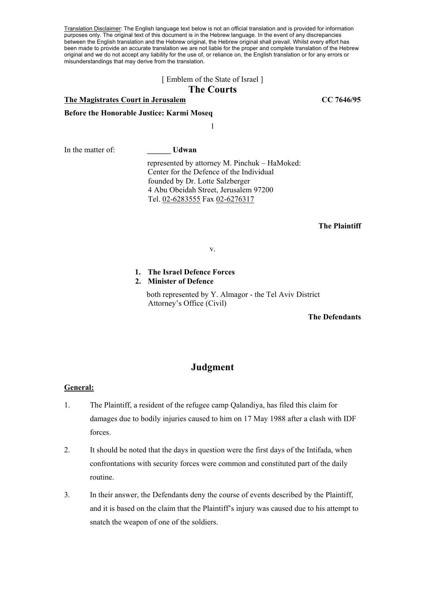Translation Disclaimer: The English language text below is not an official translation and is provided for information purposes only. The original text of this document is in the Hebrew language. In the event of any discrepancies between the English translation and the Hebrew original, the Hebrew original shall prevail. Whilst every effort has been made to provide an accurate translation we are not liable for the proper and complete translation of the Hebrew original and we do not accept any liability for the use of, or reliance on, the English translation or for any errors or misunderstandings that may derive from the translation.

### [ Emblem of the State of Israel ]

# **The Courts**

# **The Magistrates Court in Jerusalem CC 7646/95**

**Before the Honorable Justice: Karmi Moseq** 

1

In the matter of: **W** Udwan

 represented by attorney M. Pinchuk – HaMoked: Center for the Defence of the Individual founded by Dr. Lotte Salzberger 4 Abu Obeidah Street, Jerusalem 97200 Tel. 02-6283555 Fax 02-6276317

#### **The Plaintiff**

v.

#### **1. The Israel Defence Forces**

## **2. Minister of Defence**

 both represented by Y. Almagor - the Tel Aviv District Attorney's Office (Civil)

**The Defendants** 

# **Judgment**

## **General:**

- 1. The Plaintiff, a resident of the refugee camp Qalandiya, has filed this claim for damages due to bodily injuries caused to him on 17 May 1988 after a clash with IDF forces.
- 2. It should be noted that the days in question were the first days of the Intifada, when confrontations with security forces were common and constituted part of the daily routine.
- 3. In their answer, the Defendants deny the course of events described by the Plaintiff, and it is based on the claim that the Plaintiff's injury was caused due to his attempt to snatch the weapon of one of the soldiers.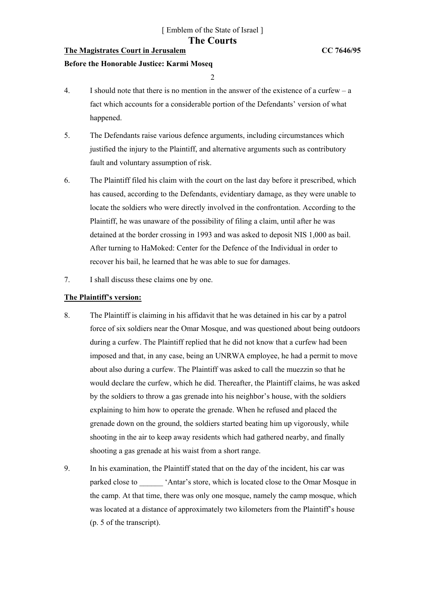# **The Magistrates Court in Jerusalem CC 7646/95**

#### **Before the Honorable Justice: Karmi Moseq**

 $\overline{2}$ 

- 4. I should note that there is no mention in the answer of the existence of a curfew a fact which accounts for a considerable portion of the Defendants' version of what happened.
- 5. The Defendants raise various defence arguments, including circumstances which justified the injury to the Plaintiff, and alternative arguments such as contributory fault and voluntary assumption of risk.
- 6. The Plaintiff filed his claim with the court on the last day before it prescribed, which has caused, according to the Defendants, evidentiary damage, as they were unable to locate the soldiers who were directly involved in the confrontation. According to the Plaintiff, he was unaware of the possibility of filing a claim, until after he was detained at the border crossing in 1993 and was asked to deposit NIS 1,000 as bail. After turning to HaMoked: Center for the Defence of the Individual in order to recover his bail, he learned that he was able to sue for damages.
- 7. I shall discuss these claims one by one.

## **The Plaintiff's version:**

- 8. The Plaintiff is claiming in his affidavit that he was detained in his car by a patrol force of six soldiers near the Omar Mosque, and was questioned about being outdoors during a curfew. The Plaintiff replied that he did not know that a curfew had been imposed and that, in any case, being an UNRWA employee, he had a permit to move about also during a curfew. The Plaintiff was asked to call the muezzin so that he would declare the curfew, which he did. Thereafter, the Plaintiff claims, he was asked by the soldiers to throw a gas grenade into his neighbor's house, with the soldiers explaining to him how to operate the grenade. When he refused and placed the grenade down on the ground, the soldiers started beating him up vigorously, while shooting in the air to keep away residents which had gathered nearby, and finally shooting a gas grenade at his waist from a short range.
- 9. In his examination, the Plaintiff stated that on the day of the incident, his car was parked close to  $\blacksquare$  'Antar's store, which is located close to the Omar Mosque in the camp. At that time, there was only one mosque, namely the camp mosque, which was located at a distance of approximately two kilometers from the Plaintiff's house (p. 5 of the transcript).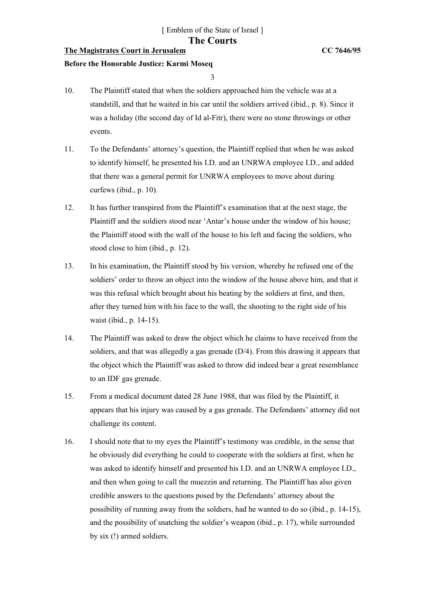# **The Magistrates Court in Jerusalem CC 7646/95**

### **Before the Honorable Justice: Karmi Moseq**

3

- 10. The Plaintiff stated that when the soldiers approached him the vehicle was at a standstill, and that he waited in his car until the soldiers arrived (ibid., p. 8). Since it was a holiday (the second day of Id al-Fitr), there were no stone throwings or other events.
- 11. To the Defendants' attorney's question, the Plaintiff replied that when he was asked to identify himself, he presented his I.D. and an UNRWA employee I.D., and added that there was a general permit for UNRWA employees to move about during curfews (ibid., p. 10).
- 12. It has further transpired from the Plaintiff's examination that at the next stage, the Plaintiff and the soldiers stood near 'Antar's house under the window of his house; the Plaintiff stood with the wall of the house to his left and facing the soldiers, who stood close to him (ibid., p. 12).
- 13. In his examination, the Plaintiff stood by his version, whereby he refused one of the soldiers' order to throw an object into the window of the house above him, and that it was this refusal which brought about his beating by the soldiers at first, and then, after they turned him with his face to the wall, the shooting to the right side of his waist (ibid., p. 14-15).
- 14. The Plaintiff was asked to draw the object which he claims to have received from the soldiers, and that was allegedly a gas grenade (D/4). From this drawing it appears that the object which the Plaintiff was asked to throw did indeed bear a great resemblance to an IDF gas grenade.
- 15. From a medical document dated 28 June 1988, that was filed by the Plaintiff, it appears that his injury was caused by a gas grenade. The Defendants' attorney did not challenge its content.
- 16. I should note that to my eyes the Plaintiff's testimony was credible, in the sense that he obviously did everything he could to cooperate with the soldiers at first, when he was asked to identify himself and presented his I.D. and an UNRWA employee I.D., and then when going to call the muezzin and returning. The Plaintiff has also given credible answers to the questions posed by the Defendants' attorney about the possibility of running away from the soldiers, had he wanted to do so (ibid., p. 14-15), and the possibility of snatching the soldier's weapon (ibid., p. 17), while surrounded by six (!) armed soldiers.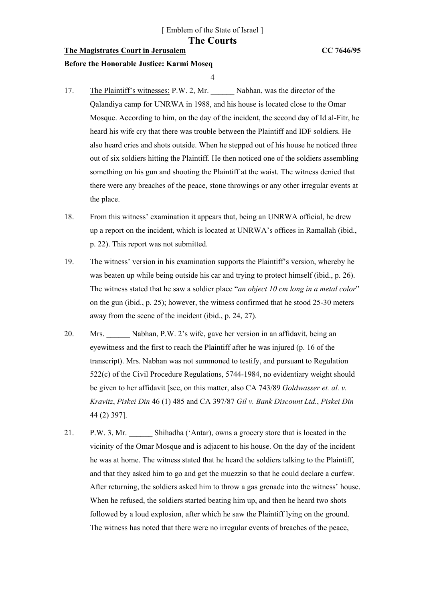# **The Magistrates Court in Jerusalem CC 7646/95**

#### **Before the Honorable Justice: Karmi Moseq**

4

- 17. The Plaintiff's witnesses: P.W. 2, Mr. Nabhan, was the director of the Qalandiya camp for UNRWA in 1988, and his house is located close to the Omar Mosque. According to him, on the day of the incident, the second day of Id al-Fitr, he heard his wife cry that there was trouble between the Plaintiff and IDF soldiers. He also heard cries and shots outside. When he stepped out of his house he noticed three out of six soldiers hitting the Plaintiff. He then noticed one of the soldiers assembling something on his gun and shooting the Plaintiff at the waist. The witness denied that there were any breaches of the peace, stone throwings or any other irregular events at the place.
- 18. From this witness' examination it appears that, being an UNRWA official, he drew up a report on the incident, which is located at UNRWA's offices in Ramallah (ibid., p. 22). This report was not submitted.
- 19. The witness' version in his examination supports the Plaintiff's version, whereby he was beaten up while being outside his car and trying to protect himself (ibid., p. 26). The witness stated that he saw a soldier place "*an object 10 cm long in a metal color*" on the gun (ibid., p. 25); however, the witness confirmed that he stood 25-30 meters away from the scene of the incident (ibid., p. 24, 27).
- 20. Mrs. \_\_\_\_\_\_ Nabhan, P.W. 2's wife, gave her version in an affidavit, being an eyewitness and the first to reach the Plaintiff after he was injured (p. 16 of the transcript). Mrs. Nabhan was not summoned to testify, and pursuant to Regulation 522(c) of the Civil Procedure Regulations, 5744-1984, no evidentiary weight should be given to her affidavit [see, on this matter, also CA 743/89 *Goldwasser et. al. v. Kravitz*, *Piskei Din* 46 (1) 485 and CA 397/87 *Gil v. Bank Discount Ltd.*, *Piskei Din* 44 (2) 397].
- 21. P.W. 3, Mr. Shihadha ('Antar), owns a grocery store that is located in the vicinity of the Omar Mosque and is adjacent to his house. On the day of the incident he was at home. The witness stated that he heard the soldiers talking to the Plaintiff, and that they asked him to go and get the muezzin so that he could declare a curfew. After returning, the soldiers asked him to throw a gas grenade into the witness' house. When he refused, the soldiers started beating him up, and then he heard two shots followed by a loud explosion, after which he saw the Plaintiff lying on the ground. The witness has noted that there were no irregular events of breaches of the peace,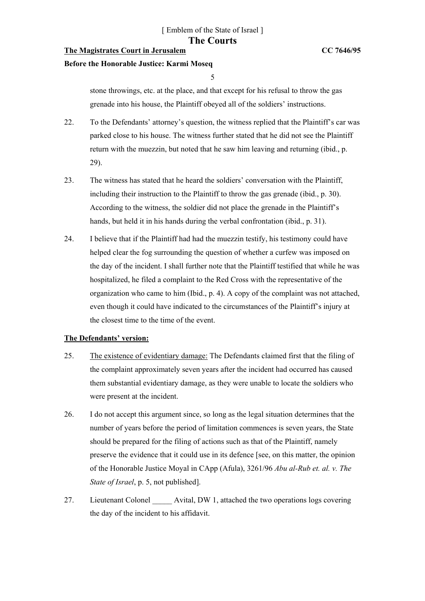# **The Magistrates Court in Jerusalem CC 7646/95**

#### **Before the Honorable Justice: Karmi Moseq**

#### 5

stone throwings, etc. at the place, and that except for his refusal to throw the gas grenade into his house, the Plaintiff obeyed all of the soldiers' instructions.

- 22. To the Defendants' attorney's question, the witness replied that the Plaintiff's car was parked close to his house. The witness further stated that he did not see the Plaintiff return with the muezzin, but noted that he saw him leaving and returning (ibid., p. 29).
- 23. The witness has stated that he heard the soldiers' conversation with the Plaintiff, including their instruction to the Plaintiff to throw the gas grenade (ibid., p. 30). According to the witness, the soldier did not place the grenade in the Plaintiff's hands, but held it in his hands during the verbal confrontation (ibid., p. 31).
- 24. I believe that if the Plaintiff had had the muezzin testify, his testimony could have helped clear the fog surrounding the question of whether a curfew was imposed on the day of the incident. I shall further note that the Plaintiff testified that while he was hospitalized, he filed a complaint to the Red Cross with the representative of the organization who came to him (Ibid., p. 4). A copy of the complaint was not attached, even though it could have indicated to the circumstances of the Plaintiff's injury at the closest time to the time of the event.

### **The Defendants' version:**

- 25. The existence of evidentiary damage: The Defendants claimed first that the filing of the complaint approximately seven years after the incident had occurred has caused them substantial evidentiary damage, as they were unable to locate the soldiers who were present at the incident.
- 26. I do not accept this argument since, so long as the legal situation determines that the number of years before the period of limitation commences is seven years, the State should be prepared for the filing of actions such as that of the Plaintiff, namely preserve the evidence that it could use in its defence [see, on this matter, the opinion of the Honorable Justice Moyal in CApp (Afula), 3261/96 *Abu al-Rub et. al. v. The State of Israel*, p. 5, not published].
- 27. Lieutenant Colonel Avital, DW 1, attached the two operations logs covering the day of the incident to his affidavit.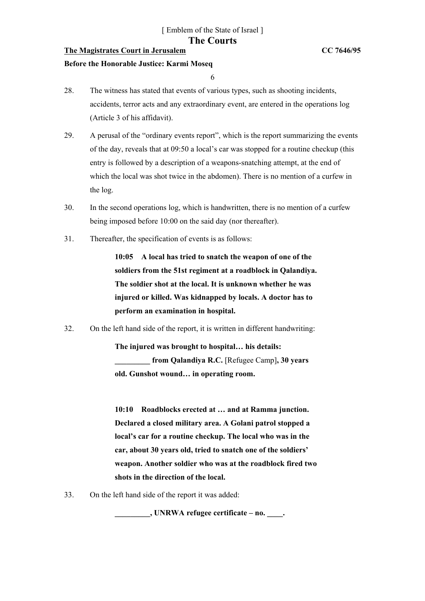# **The Magistrates Court in Jerusalem CC 7646/95**

#### **Before the Honorable Justice: Karmi Moseq**

6

- 28. The witness has stated that events of various types, such as shooting incidents, accidents, terror acts and any extraordinary event, are entered in the operations log (Article 3 of his affidavit).
- 29. A perusal of the "ordinary events report", which is the report summarizing the events of the day, reveals that at 09:50 a local's car was stopped for a routine checkup (this entry is followed by a description of a weapons-snatching attempt, at the end of which the local was shot twice in the abdomen). There is no mention of a curfew in the log.
- 30. In the second operations log, which is handwritten, there is no mention of a curfew being imposed before 10:00 on the said day (nor thereafter).
- 31. Thereafter, the specification of events is as follows:

**10:05 A local has tried to snatch the weapon of one of the soldiers from the 51st regiment at a roadblock in Qalandiya. The soldier shot at the local. It is unknown whether he was injured or killed. Was kidnapped by locals. A doctor has to perform an examination in hospital.** 

32. On the left hand side of the report, it is written in different handwriting:

**The injured was brought to hospital… his details: \_\_\_\_\_\_\_\_\_ from Qalandiya R.C.** [Refugee Camp]**, 30 years old. Gunshot wound… in operating room.** 

**10:10 Roadblocks erected at … and at Ramma junction. Declared a closed military area. A Golani patrol stopped a local's car for a routine checkup. The local who was in the car, about 30 years old, tried to snatch one of the soldiers' weapon. Another soldier who was at the roadblock fired two shots in the direction of the local.** 

33. On the left hand side of the report it was added:

**\_\_\_\_\_\_\_\_\_, UNRWA refugee certificate – no. \_\_\_\_.**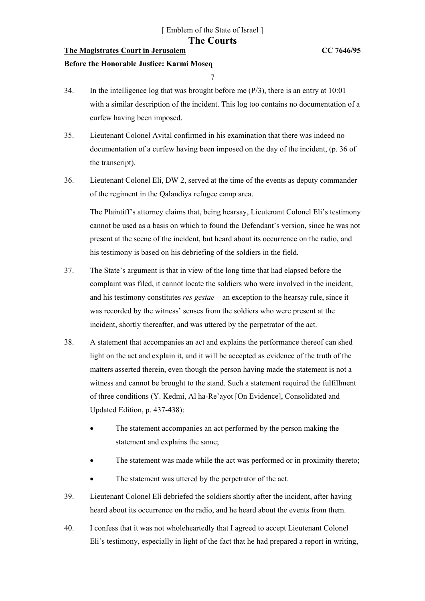# **The Magistrates Court in Jerusalem CC 7646/95**

#### **Before the Honorable Justice: Karmi Moseq**

7

- 34. In the intelligence log that was brought before me (P/3), there is an entry at 10:01 with a similar description of the incident. This log too contains no documentation of a curfew having been imposed.
- 35. Lieutenant Colonel Avital confirmed in his examination that there was indeed no documentation of a curfew having been imposed on the day of the incident, (p. 36 of the transcript).
- 36. Lieutenant Colonel Eli, DW 2, served at the time of the events as deputy commander of the regiment in the Qalandiya refugee camp area.

The Plaintiff's attorney claims that, being hearsay, Lieutenant Colonel Eli's testimony cannot be used as a basis on which to found the Defendant's version, since he was not present at the scene of the incident, but heard about its occurrence on the radio, and his testimony is based on his debriefing of the soldiers in the field.

- 37. The State's argument is that in view of the long time that had elapsed before the complaint was filed, it cannot locate the soldiers who were involved in the incident, and his testimony constitutes *res gestae* – an exception to the hearsay rule, since it was recorded by the witness' senses from the soldiers who were present at the incident, shortly thereafter, and was uttered by the perpetrator of the act.
- 38. A statement that accompanies an act and explains the performance thereof can shed light on the act and explain it, and it will be accepted as evidence of the truth of the matters asserted therein, even though the person having made the statement is not a witness and cannot be brought to the stand. Such a statement required the fulfillment of three conditions (Y. Kedmi, Al ha-Re'ayot [On Evidence], Consolidated and Updated Edition, p. 437-438):
	- The statement accompanies an act performed by the person making the statement and explains the same;
	- The statement was made while the act was performed or in proximity thereto;
	- The statement was uttered by the perpetrator of the act.
- 39. Lieutenant Colonel Eli debriefed the soldiers shortly after the incident, after having heard about its occurrence on the radio, and he heard about the events from them.
- 40. I confess that it was not wholeheartedly that I agreed to accept Lieutenant Colonel Eli's testimony, especially in light of the fact that he had prepared a report in writing,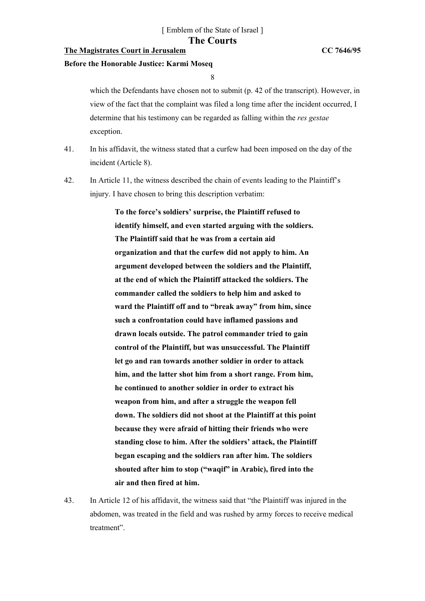# **The Magistrates Court in Jerusalem CC 7646/95**

#### **Before the Honorable Justice: Karmi Moseq**

8

which the Defendants have chosen not to submit (p. 42 of the transcript). However, in view of the fact that the complaint was filed a long time after the incident occurred, I determine that his testimony can be regarded as falling within the *res gestae* exception.

- 41. In his affidavit, the witness stated that a curfew had been imposed on the day of the incident (Article 8).
- 42. In Article 11, the witness described the chain of events leading to the Plaintiff's injury. I have chosen to bring this description verbatim:

**To the force's soldiers' surprise, the Plaintiff refused to identify himself, and even started arguing with the soldiers. The Plaintiff said that he was from a certain aid organization and that the curfew did not apply to him. An argument developed between the soldiers and the Plaintiff, at the end of which the Plaintiff attacked the soldiers. The commander called the soldiers to help him and asked to ward the Plaintiff off and to "break away" from him, since such a confrontation could have inflamed passions and drawn locals outside. The patrol commander tried to gain control of the Plaintiff, but was unsuccessful. The Plaintiff let go and ran towards another soldier in order to attack him, and the latter shot him from a short range. From him, he continued to another soldier in order to extract his weapon from him, and after a struggle the weapon fell down. The soldiers did not shoot at the Plaintiff at this point because they were afraid of hitting their friends who were standing close to him. After the soldiers' attack, the Plaintiff began escaping and the soldiers ran after him. The soldiers shouted after him to stop ("waqif" in Arabic), fired into the air and then fired at him.** 

43. In Article 12 of his affidavit, the witness said that "the Plaintiff was injured in the abdomen, was treated in the field and was rushed by army forces to receive medical treatment".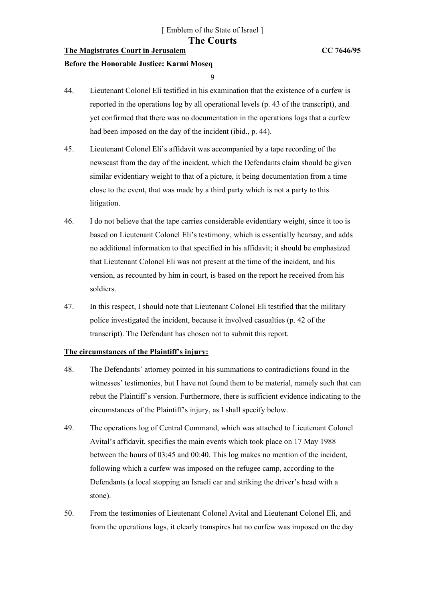# **The Magistrates Court in Jerusalem CC 7646/95**

#### **Before the Honorable Justice: Karmi Moseq**

9

- 44. Lieutenant Colonel Eli testified in his examination that the existence of a curfew is reported in the operations log by all operational levels (p. 43 of the transcript), and yet confirmed that there was no documentation in the operations logs that a curfew had been imposed on the day of the incident (ibid., p. 44).
- 45. Lieutenant Colonel Eli's affidavit was accompanied by a tape recording of the newscast from the day of the incident, which the Defendants claim should be given similar evidentiary weight to that of a picture, it being documentation from a time close to the event, that was made by a third party which is not a party to this litigation.
- 46. I do not believe that the tape carries considerable evidentiary weight, since it too is based on Lieutenant Colonel Eli's testimony, which is essentially hearsay, and adds no additional information to that specified in his affidavit; it should be emphasized that Lieutenant Colonel Eli was not present at the time of the incident, and his version, as recounted by him in court, is based on the report he received from his soldiers.
- 47. In this respect, I should note that Lieutenant Colonel Eli testified that the military police investigated the incident, because it involved casualties (p. 42 of the transcript). The Defendant has chosen not to submit this report.

### **The circumstances of the Plaintiff's injury:**

- 48. The Defendants' attorney pointed in his summations to contradictions found in the witnesses' testimonies, but I have not found them to be material, namely such that can rebut the Plaintiff's version. Furthermore, there is sufficient evidence indicating to the circumstances of the Plaintiff's injury, as I shall specify below.
- 49. The operations log of Central Command, which was attached to Lieutenant Colonel Avital's affidavit, specifies the main events which took place on 17 May 1988 between the hours of 03:45 and 00:40. This log makes no mention of the incident, following which a curfew was imposed on the refugee camp, according to the Defendants (a local stopping an Israeli car and striking the driver's head with a stone).
- 50. From the testimonies of Lieutenant Colonel Avital and Lieutenant Colonel Eli, and from the operations logs, it clearly transpires hat no curfew was imposed on the day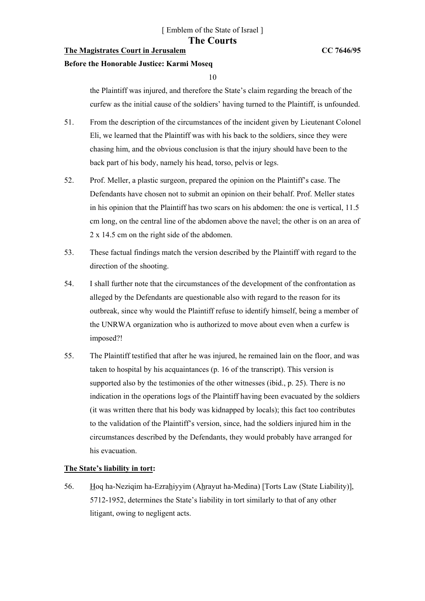# **The Magistrates Court in Jerusalem CC 7646/95**

#### **Before the Honorable Justice: Karmi Moseq**

10

the Plaintiff was injured, and therefore the State's claim regarding the breach of the curfew as the initial cause of the soldiers' having turned to the Plaintiff, is unfounded.

- 51. From the description of the circumstances of the incident given by Lieutenant Colonel Eli, we learned that the Plaintiff was with his back to the soldiers, since they were chasing him, and the obvious conclusion is that the injury should have been to the back part of his body, namely his head, torso, pelvis or legs.
- 52. Prof. Meller, a plastic surgeon, prepared the opinion on the Plaintiff's case. The Defendants have chosen not to submit an opinion on their behalf. Prof. Meller states in his opinion that the Plaintiff has two scars on his abdomen: the one is vertical, 11.5 cm long, on the central line of the abdomen above the navel; the other is on an area of 2 x 14.5 cm on the right side of the abdomen.
- 53. These factual findings match the version described by the Plaintiff with regard to the direction of the shooting.
- 54. I shall further note that the circumstances of the development of the confrontation as alleged by the Defendants are questionable also with regard to the reason for its outbreak, since why would the Plaintiff refuse to identify himself, being a member of the UNRWA organization who is authorized to move about even when a curfew is imposed?!
- 55. The Plaintiff testified that after he was injured, he remained lain on the floor, and was taken to hospital by his acquaintances (p. 16 of the transcript). This version is supported also by the testimonies of the other witnesses (ibid., p. 25). There is no indication in the operations logs of the Plaintiff having been evacuated by the soldiers (it was written there that his body was kidnapped by locals); this fact too contributes to the validation of the Plaintiff's version, since, had the soldiers injured him in the circumstances described by the Defendants, they would probably have arranged for his evacuation.

# **The State's liability in tort:**

56. Hoq ha-Neziqim ha-Ezrahiyyim (Ahrayut ha-Medina) [Torts Law (State Liability)], 5712-1952, determines the State's liability in tort similarly to that of any other litigant, owing to negligent acts.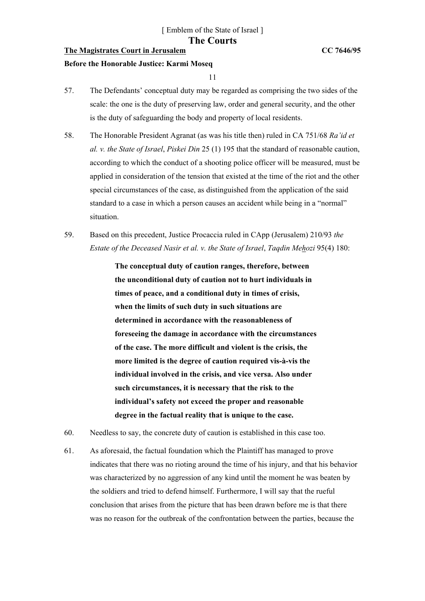## **The Magistrates Court in Jerusalem CC 7646/95**

#### **Before the Honorable Justice: Karmi Moseq**

11

- 57. The Defendants' conceptual duty may be regarded as comprising the two sides of the scale: the one is the duty of preserving law, order and general security, and the other is the duty of safeguarding the body and property of local residents.
- 58. The Honorable President Agranat (as was his title then) ruled in CA 751/68 *Ra'id et al. v. the State of Israel*, *Piskei Din* 25 (1) 195 that the standard of reasonable caution, according to which the conduct of a shooting police officer will be measured, must be applied in consideration of the tension that existed at the time of the riot and the other special circumstances of the case, as distinguished from the application of the said standard to a case in which a person causes an accident while being in a "normal" situation.
- 59. Based on this precedent, Justice Procaccia ruled in CApp (Jerusalem) 210/93 *the Estate of the Deceased Nasir et al. v. the State of Israel*, *Taqdin Mehozi* 95(4) 180:

**The conceptual duty of caution ranges, therefore, between the unconditional duty of caution not to hurt individuals in times of peace, and a conditional duty in times of crisis, when the limits of such duty in such situations are determined in accordance with the reasonableness of foreseeing the damage in accordance with the circumstances of the case. The more difficult and violent is the crisis, the more limited is the degree of caution required vis-à-vis the individual involved in the crisis, and vice versa. Also under such circumstances, it is necessary that the risk to the individual's safety not exceed the proper and reasonable degree in the factual reality that is unique to the case.** 

- 60. Needless to say, the concrete duty of caution is established in this case too.
- 61. As aforesaid, the factual foundation which the Plaintiff has managed to prove indicates that there was no rioting around the time of his injury, and that his behavior was characterized by no aggression of any kind until the moment he was beaten by the soldiers and tried to defend himself. Furthermore, I will say that the rueful conclusion that arises from the picture that has been drawn before me is that there was no reason for the outbreak of the confrontation between the parties, because the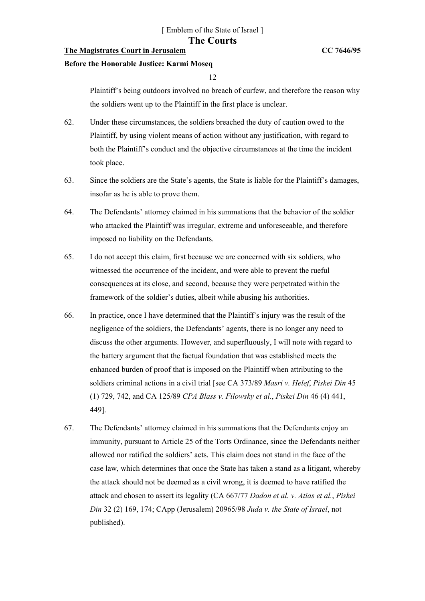## **The Magistrates Court in Jerusalem CC 7646/95**

#### **Before the Honorable Justice: Karmi Moseq**

12

Plaintiff's being outdoors involved no breach of curfew, and therefore the reason why the soldiers went up to the Plaintiff in the first place is unclear.

- 62. Under these circumstances, the soldiers breached the duty of caution owed to the Plaintiff, by using violent means of action without any justification, with regard to both the Plaintiff's conduct and the objective circumstances at the time the incident took place.
- 63. Since the soldiers are the State's agents, the State is liable for the Plaintiff's damages, insofar as he is able to prove them.
- 64. The Defendants' attorney claimed in his summations that the behavior of the soldier who attacked the Plaintiff was irregular, extreme and unforeseeable, and therefore imposed no liability on the Defendants.
- 65. I do not accept this claim, first because we are concerned with six soldiers, who witnessed the occurrence of the incident, and were able to prevent the rueful consequences at its close, and second, because they were perpetrated within the framework of the soldier's duties, albeit while abusing his authorities.
- 66. In practice, once I have determined that the Plaintiff's injury was the result of the negligence of the soldiers, the Defendants' agents, there is no longer any need to discuss the other arguments. However, and superfluously, I will note with regard to the battery argument that the factual foundation that was established meets the enhanced burden of proof that is imposed on the Plaintiff when attributing to the soldiers criminal actions in a civil trial [see CA 373/89 *Masri v. Helef*, *Piskei Din* 45 (1) 729, 742, and CA 125/89 *CPA Blass v. Filowsky et al.*, *Piskei Din* 46 (4) 441, 449].
- 67. The Defendants' attorney claimed in his summations that the Defendants enjoy an immunity, pursuant to Article 25 of the Torts Ordinance, since the Defendants neither allowed nor ratified the soldiers' acts. This claim does not stand in the face of the case law, which determines that once the State has taken a stand as a litigant, whereby the attack should not be deemed as a civil wrong, it is deemed to have ratified the attack and chosen to assert its legality (CA 667/77 *Dadon et al. v. Atias et al.*, *Piskei Din* 32 (2) 169, 174; CApp (Jerusalem) 20965/98 *Juda v. the State of Israel*, not published).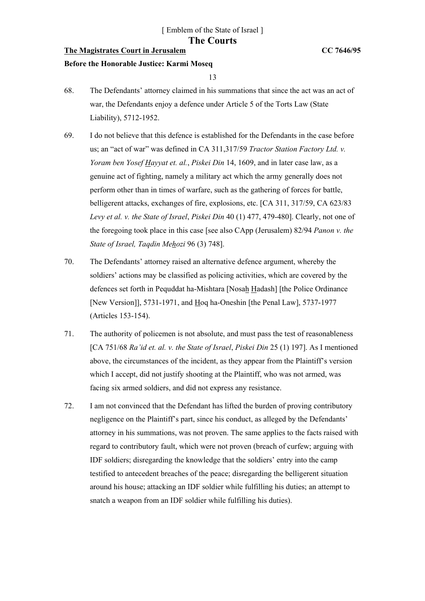# **The Magistrates Court in Jerusalem CC 7646/95**

#### **Before the Honorable Justice: Karmi Moseq**

13

- 68. The Defendants' attorney claimed in his summations that since the act was an act of war, the Defendants enjoy a defence under Article 5 of the Torts Law (State Liability), 5712-1952.
- 69. I do not believe that this defence is established for the Defendants in the case before us; an "act of war" was defined in CA 311,317/59 *Tractor Station Factory Ltd. v. Yoram ben Yosef Hayyat et. al.*, *Piskei Din* 14, 1609, and in later case law, as a genuine act of fighting, namely a military act which the army generally does not perform other than in times of warfare, such as the gathering of forces for battle, belligerent attacks, exchanges of fire, explosions, etc. [CA 311, 317/59, CA 623/83 *Levy et al. v. the State of Israel*, *Piskei Din* 40 (1) 477, 479-480]. Clearly, not one of the foregoing took place in this case [see also CApp (Jerusalem) 82/94 *Panon v. the State of Israel, Taqdin Mehozi* 96 (3) 748].
- 70. The Defendants' attorney raised an alternative defence argument, whereby the soldiers' actions may be classified as policing activities, which are covered by the defences set forth in Pequddat ha-Mishtara [Nosah Hadash] [the Police Ordinance [New Version]], 5731-1971, and Hoq ha-Oneshin [the Penal Law], 5737-1977 (Articles 153-154).
- 71. The authority of policemen is not absolute, and must pass the test of reasonableness [CA 751/68 *Ra'id et. al. v. the State of Israel*, *Piskei Din* 25 (1) 197]. As I mentioned above, the circumstances of the incident, as they appear from the Plaintiff's version which I accept, did not justify shooting at the Plaintiff, who was not armed, was facing six armed soldiers, and did not express any resistance.
- 72. I am not convinced that the Defendant has lifted the burden of proving contributory negligence on the Plaintiff's part, since his conduct, as alleged by the Defendants' attorney in his summations, was not proven. The same applies to the facts raised with regard to contributory fault, which were not proven (breach of curfew; arguing with IDF soldiers; disregarding the knowledge that the soldiers' entry into the camp testified to antecedent breaches of the peace; disregarding the belligerent situation around his house; attacking an IDF soldier while fulfilling his duties; an attempt to snatch a weapon from an IDF soldier while fulfilling his duties).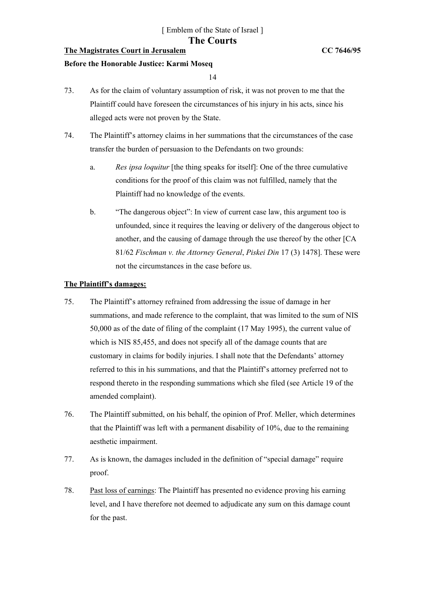# **The Magistrates Court in Jerusalem CC 7646/95**

#### **Before the Honorable Justice: Karmi Moseq**

14

- 73. As for the claim of voluntary assumption of risk, it was not proven to me that the Plaintiff could have foreseen the circumstances of his injury in his acts, since his alleged acts were not proven by the State.
- 74. The Plaintiff's attorney claims in her summations that the circumstances of the case transfer the burden of persuasion to the Defendants on two grounds:
	- a. *Res ipsa loquitur* [the thing speaks for itself]: One of the three cumulative conditions for the proof of this claim was not fulfilled, namely that the Plaintiff had no knowledge of the events.
	- b. "The dangerous object": In view of current case law, this argument too is unfounded, since it requires the leaving or delivery of the dangerous object to another, and the causing of damage through the use thereof by the other [CA 81/62 *Fischman v. the Attorney General*, *Piskei Din* 17 (3) 1478]. These were not the circumstances in the case before us.

# **The Plaintiff's damages:**

- 75. The Plaintiff's attorney refrained from addressing the issue of damage in her summations, and made reference to the complaint, that was limited to the sum of NIS 50,000 as of the date of filing of the complaint (17 May 1995), the current value of which is NIS 85,455, and does not specify all of the damage counts that are customary in claims for bodily injuries. I shall note that the Defendants' attorney referred to this in his summations, and that the Plaintiff's attorney preferred not to respond thereto in the responding summations which she filed (see Article 19 of the amended complaint).
- 76. The Plaintiff submitted, on his behalf, the opinion of Prof. Meller, which determines that the Plaintiff was left with a permanent disability of 10%, due to the remaining aesthetic impairment.
- 77. As is known, the damages included in the definition of "special damage" require proof.
- 78. Past loss of earnings: The Plaintiff has presented no evidence proving his earning level, and I have therefore not deemed to adjudicate any sum on this damage count for the past.